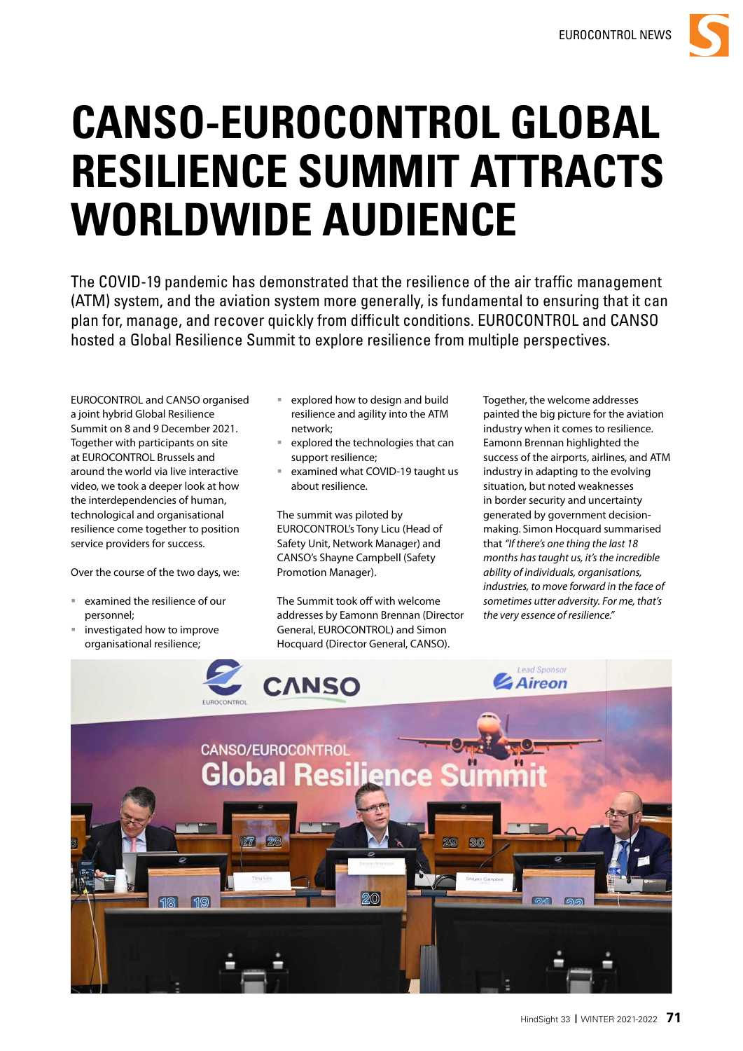

# **CANSO-EUROCONTROL GLOBAL RESILIENCE SUMMIT ATTRACTS WORLDWIDE AUDIENCE**

The COVID-19 pandemic has demonstrated that the resilience of the air traffic management (ATM) system, and the aviation system more generally, is fundamental to ensuring that it can plan for, manage, and recover quickly from difficult conditions. EUROCONTROL and CANSO hosted a Global Resilience Summit to explore resilience from multiple perspectives.

EUROCONTROL and CANSO organised a joint hybrid Global Resilience Summit on 8 and 9 December 2021. Together with participants on site at EUROCONTROL Brussels and around the world via live interactive video, we took a deeper look at how the interdependencies of human, technological and organisational resilience come together to position service providers for success.

Over the course of the two days, we:

- examined the resilience of our personnel;
- investigated how to improve organisational resilience;
- explored how to design and build resilience and agility into the ATM network;
- explored the technologies that can support resilience;
- examined what COVID-19 taught us about resilience.

The summit was piloted by EUROCONTROL's Tony Licu (Head of Safety Unit, Network Manager) and CANSO's Shayne Campbell (Safety Promotion Manager).

The Summit took off with welcome addresses by Eamonn Brennan (Director General, EUROCONTROL) and Simon Hocquard (Director General, CANSO).

Together, the welcome addresses painted the big picture for the aviation industry when it comes to resilience. Eamonn Brennan highlighted the success of the airports, airlines, and ATM industry in adapting to the evolving situation, but noted weaknesses in border security and uncertainty generated by government decisionmaking. Simon Hocquard summarised that *"If there's one thing the last 18 months has taught us, it's the incredible ability of individuals, organisations, industries, to move forward in the face of sometimes utter adversity. For me, that's the very essence of resilience."*